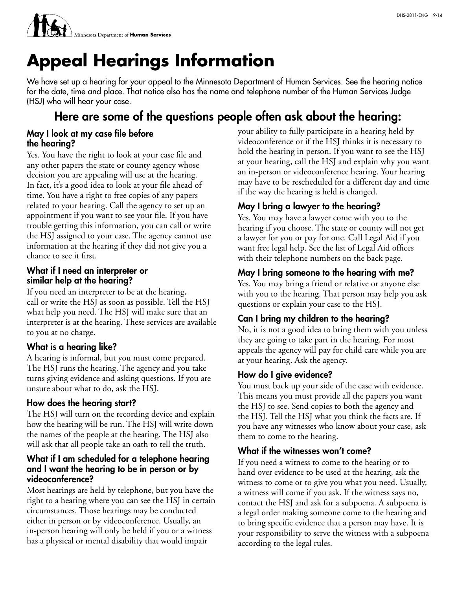

# **Appeal Hearings Information**

We have set up a hearing for your appeal to the Minnesota Department of Human Services. See the hearing notice for the date, time and place. That notice also has the name and telephone number of the Human Services Judge (HSJ) who will hear your case.

# Here are some of the questions people often ask about the hearing:

#### May I look at my case file before the hearing?

Yes. You have the right to look at your case file and any other papers the state or county agency whose decision you are appealing will use at the hearing. In fact, it's a good idea to look at your file ahead of time. You have a right to free copies of any papers related to your hearing. Call the agency to set up an appointment if you want to see your file. If you have trouble getting this information, you can call or write the HSJ assigned to your case. The agency cannot use information at the hearing if they did not give you a chance to see it first.

#### What if I need an interpreter or similar help at the hearing?

If you need an interpreter to be at the hearing, call or write the HSJ as soon as possible. Tell the HSJ what help you need. The HSJ will make sure that an interpreter is at the hearing. These services are available to you at no charge.

#### What is a hearing like?

A hearing is informal, but you must come prepared. The HSJ runs the hearing. The agency and you take turns giving evidence and asking questions. If you are unsure about what to do, ask the HSJ.

#### How does the hearing start?

The HSJ will turn on the recording device and explain how the hearing will be run. The HSJ will write down the names of the people at the hearing. The HSJ also will ask that all people take an oath to tell the truth.

#### What if I am scheduled for a telephone hearing and I want the hearing to be in person or by videoconference?

Most hearings are held by telephone, but you have the right to a hearing where you can see the HSJ in certain circumstances. Those hearings may be conducted either in person or by videoconference. Usually, an in-person hearing will only be held if you or a witness has a physical or mental disability that would impair

your ability to fully participate in a hearing held by videoconference or if the HSJ thinks it is necessary to hold the hearing in person. If you want to see the HSJ at your hearing, call the HSJ and explain why you want an in-person or videoconference hearing. Your hearing may have to be rescheduled for a different day and time if the way the hearing is held is changed.

# May I bring a lawyer to the hearing?

Yes. You may have a lawyer come with you to the hearing if you choose. The state or county will not get a lawyer for you or pay for one. Call Legal Aid if you want free legal help. See the list of Legal Aid offices with their telephone numbers on the back page.

## May I bring someone to the hearing with me?

Yes. You may bring a friend or relative or anyone else with you to the hearing. That person may help you ask questions or explain your case to the HSJ.

# Can I bring my children to the hearing?

No, it is not a good idea to bring them with you unless they are going to take part in the hearing. For most appeals the agency will pay for child care while you are at your hearing. Ask the agency.

#### How do I give evidence?

You must back up your side of the case with evidence. This means you must provide all the papers you want the HSJ to see. Send copies to both the agency and the HSJ. Tell the HSJ what you think the facts are. If you have any witnesses who know about your case, ask them to come to the hearing.

#### What if the witnesses won't come?

If you need a witness to come to the hearing or to hand over evidence to be used at the hearing, ask the witness to come or to give you what you need. Usually, a witness will come if you ask. If the witness says no, contact the HSJ and ask for a subpoena. A subpoena is a legal order making someone come to the hearing and to bring specific evidence that a person may have. It is your responsibility to serve the witness with a subpoena according to the legal rules.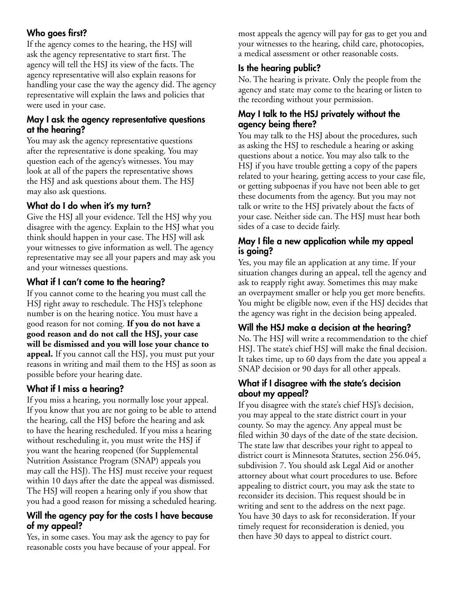# Who goes first?

If the agency comes to the hearing, the HSJ will ask the agency representative to start first. The agency will tell the HSJ its view of the facts. The agency representative will also explain reasons for handling your case the way the agency did. The agency representative will explain the laws and policies that were used in your case.

#### May I ask the agency representative questions at the hearing?

You may ask the agency representative questions after the representative is done speaking. You may question each of the agency's witnesses. You may look at all of the papers the representative shows the HSJ and ask questions about them. The HSJ may also ask questions.

## What do I do when it's my turn?

Give the HSJ all your evidence. Tell the HSJ why you disagree with the agency. Explain to the HSJ what you think should happen in your case. The HSJ will ask your witnesses to give information as well. The agency representative may see all your papers and may ask you and your witnesses questions.

## What if I can't come to the hearing?

If you cannot come to the hearing you must call the HSJ right away to reschedule. The HSJ's telephone number is on the hearing notice. You must have a good reason for not coming. **If you do not have a good reason and do not call the HSJ, your case will be dismissed and you will lose your chance to appeal.** If you cannot call the HSJ, you must put your reasons in writing and mail them to the HSJ as soon as possible before your hearing date.

# What if I miss a hearing?

If you miss a hearing, you normally lose your appeal. If you know that you are not going to be able to attend the hearing, call the HSJ before the hearing and ask to have the hearing rescheduled. If you miss a hearing without rescheduling it, you must write the HSJ if you want the hearing reopened (for Supplemental Nutrition Assistance Program (SNAP) appeals you may call the HSJ). The HSJ must receive your request within 10 days after the date the appeal was dismissed. The HSJ will reopen a hearing only if you show that you had a good reason for missing a scheduled hearing.

#### Will the agency pay for the costs I have because of my appeal?

Yes, in some cases. You may ask the agency to pay for reasonable costs you have because of your appeal. For most appeals the agency will pay for gas to get you and your witnesses to the hearing, child care, photocopies, a medical assessment or other reasonable costs.

# Is the hearing public?

No. The hearing is private. Only the people from the agency and state may come to the hearing or listen to the recording without your permission.

#### May I talk to the HSJ privately without the agency being there?

You may talk to the HSJ about the procedures, such as asking the HSJ to reschedule a hearing or asking questions about a notice. You may also talk to the HSJ if you have trouble getting a copy of the papers related to your hearing, getting access to your case file, or getting subpoenas if you have not been able to get these documents from the agency. But you may not talk or write to the HSJ privately about the facts of your case. Neither side can. The HSJ must hear both sides of a case to decide fairly.

#### May I file a new application while my appeal is going?

Yes, you may file an application at any time. If your situation changes during an appeal, tell the agency and ask to reapply right away. Sometimes this may make an overpayment smaller or help you get more benefits. You might be eligible now, even if the HSJ decides that the agency was right in the decision being appealed.

#### Will the HSJ make a decision at the hearing?

No. The HSJ will write a recommendation to the chief HSJ. The state's chief HSJ will make the final decision. It takes time, up to 60 days from the date you appeal a SNAP decision or 90 days for all other appeals.

#### What if I disagree with the state's decision about my appeal?

If you disagree with the state's chief HSJ's decision, you may appeal to the state district court in your county. So may the agency. Any appeal must be filed within 30 days of the date of the state decision. The state law that describes your right to appeal to district court is Minnesota Statutes, section 256.045, subdivision 7. You should ask Legal Aid or another attorney about what court procedures to use. Before appealing to district court, you may ask the state to reconsider its decision. This request should be in writing and sent to the address on the next page. You have 30 days to ask for reconsideration. If your timely request for reconsideration is denied, you then have 30 days to appeal to district court.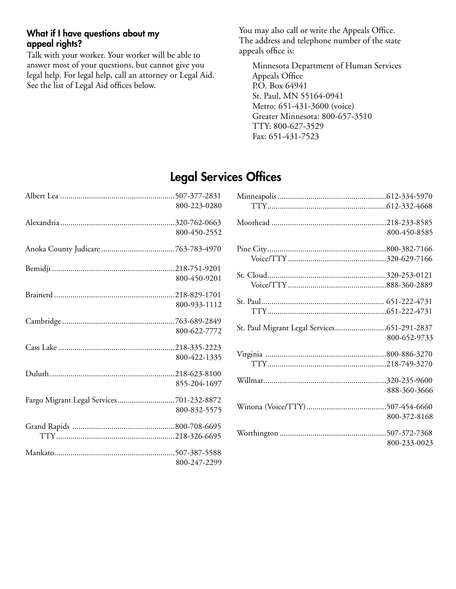#### What if I have questions about my appeal rights?

Talk with your worker. Your worker will be able to answer most of your questions, but cannot give you legal help. For legal help, call an attorney or Legal Aid. See the list of Legal Aid offices below.

You may also call or write the Appeals Office. The address and telephone number of the state appeals office is:

Minnesota Department of Human Services Appeals Office P.O. Box 64941 St. Paul, MN 55164-0941 Metro: 651-431-3600 (voice) Greater Minnesota: 800-657-3510 TTY: 800-627-3529 Fax: 651-431-7523

# Legal Services Offices

|                                          | 800-223-0280 |
|------------------------------------------|--------------|
|                                          |              |
|                                          | 800-450-2552 |
|                                          |              |
|                                          |              |
|                                          | 800-450-9201 |
|                                          |              |
|                                          | 800-933-1112 |
|                                          |              |
|                                          | 800-622-7772 |
|                                          |              |
|                                          | 800-422-1335 |
|                                          |              |
|                                          | 855-204-1697 |
| Fargo Migrant Legal Services701-232-8872 |              |
|                                          | 800-832-5575 |
|                                          |              |
|                                          |              |
|                                          |              |
|                                          | 800-247-2299 |

|                                             | 800-450-8585 |
|---------------------------------------------|--------------|
|                                             |              |
|                                             |              |
|                                             |              |
|                                             |              |
|                                             |              |
|                                             |              |
|                                             |              |
| St. Paul Migrant Legal Services651-291-2837 |              |
|                                             | 800-652-9733 |
|                                             |              |
|                                             |              |
|                                             |              |
|                                             |              |
|                                             | 888-360-3666 |
|                                             |              |
|                                             | 800-372-8168 |
|                                             |              |
|                                             |              |
|                                             | 800-233-0023 |